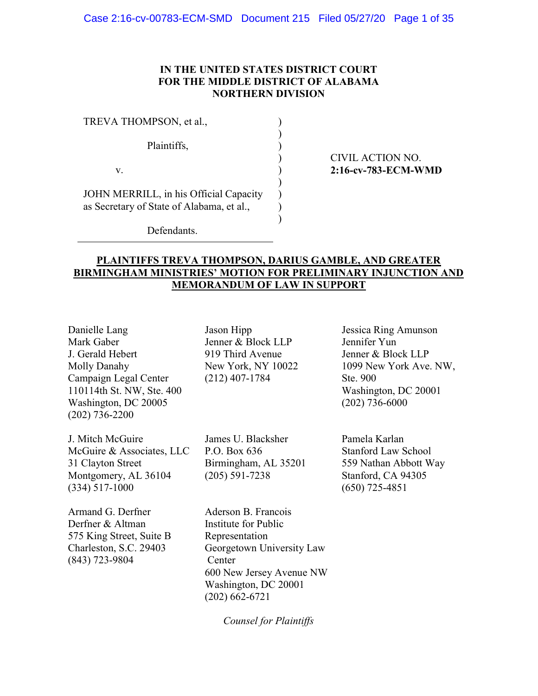### IN THE UNITED STATES DISTRICT COURT FOR THE MIDDLE DISTRICT OF ALABAMA NORTHERN DIVISION

 $\mathcal{L}$  $\overline{)}$  $\mathcal{L}$ ) )  $\mathcal{L}$  $\overline{)}$  $\mathcal{L}$  $\mathcal{L}$ 

| TREVA THOMPSON, et al.,                                                             |
|-------------------------------------------------------------------------------------|
| Plaintiffs,                                                                         |
| V.                                                                                  |
| JOHN MERRILL, in his Official Capacity<br>as Secretary of State of Alabama, et al., |

### CIVIL ACTION NO. 2:16-cv-783-ECM-WMD

Defendants.

# PLAINTIFFS TREVA THOMPSON, DARIUS GAMBLE, AND GREATER BIRMINGHAM MINISTRIES' MOTION FOR PRELIMINARY INJUNCTION AND MEMORANDUM OF LAW IN SUPPORT

Danielle Lang Mark Gaber J. Gerald Hebert Molly Danahy Campaign Legal Center 110114th St. NW, Ste. 400 Washington, DC 20005 (202) 736-2200

J. Mitch McGuire McGuire & Associates, LLC 31 Clayton Street Montgomery, AL 36104 (334) 517-1000

Armand G. Derfner Derfner & Altman 575 King Street, Suite B Charleston, S.C. 29403 (843) 723-9804

Jason Hipp Jenner & Block LLP 919 Third Avenue New York, NY 10022 (212) 407-1784

James U. Blacksher P.O. Box 636 Birmingham, AL 35201 (205) 591-7238

Aderson B. Francois Institute for Public Representation Georgetown University Law Center 600 New Jersey Avenue NW Washington, DC 20001 (202) 662-6721

Counsel for Plaintiffs

Jessica Ring Amunson Jennifer Yun Jenner & Block LLP 1099 New York Ave. NW, Ste. 900 Washington, DC 20001 (202) 736-6000

Pamela Karlan Stanford Law School 559 Nathan Abbott Way Stanford, CA 94305 (650) 725-4851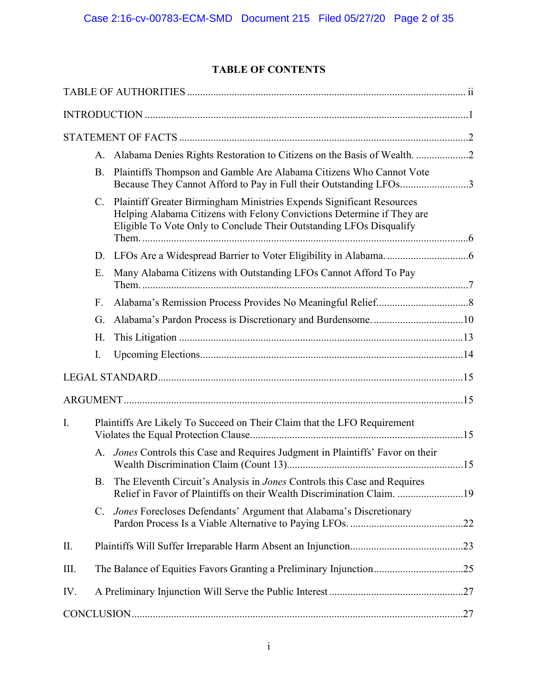# TABLE OF CONTENTS

|      |                                                                          | A. Alabama Denies Rights Restoration to Citizens on the Basis of Wealth. 2                                                                                                                                                |  |
|------|--------------------------------------------------------------------------|---------------------------------------------------------------------------------------------------------------------------------------------------------------------------------------------------------------------------|--|
|      |                                                                          | B. Plaintiffs Thompson and Gamble Are Alabama Citizens Who Cannot Vote<br>Because They Cannot Afford to Pay in Full their Outstanding LFOs3                                                                               |  |
|      |                                                                          | C. Plaintiff Greater Birmingham Ministries Expends Significant Resources<br>Helping Alabama Citizens with Felony Convictions Determine if They are<br>Eligible To Vote Only to Conclude Their Outstanding LFOs Disqualify |  |
|      |                                                                          |                                                                                                                                                                                                                           |  |
|      | Ε.                                                                       | Many Alabama Citizens with Outstanding LFOs Cannot Afford To Pay                                                                                                                                                          |  |
|      | F.                                                                       |                                                                                                                                                                                                                           |  |
|      | G.                                                                       |                                                                                                                                                                                                                           |  |
|      | Η.                                                                       |                                                                                                                                                                                                                           |  |
|      | I.                                                                       |                                                                                                                                                                                                                           |  |
|      |                                                                          |                                                                                                                                                                                                                           |  |
|      |                                                                          |                                                                                                                                                                                                                           |  |
| I.   | Plaintiffs Are Likely To Succeed on Their Claim that the LFO Requirement |                                                                                                                                                                                                                           |  |
|      |                                                                          | A. Jones Controls this Case and Requires Judgment in Plaintiffs' Favor on their                                                                                                                                           |  |
|      |                                                                          | B. The Eleventh Circuit's Analysis in <i>Jones</i> Controls this Case and Requires<br>Relief in Favor of Plaintiffs on their Wealth Discrimination Claim. 19                                                              |  |
|      | C.                                                                       | Jones Forecloses Defendants' Argument that Alabama's Discretionary                                                                                                                                                        |  |
| II.  |                                                                          |                                                                                                                                                                                                                           |  |
| III. |                                                                          |                                                                                                                                                                                                                           |  |
| IV.  |                                                                          |                                                                                                                                                                                                                           |  |
|      |                                                                          |                                                                                                                                                                                                                           |  |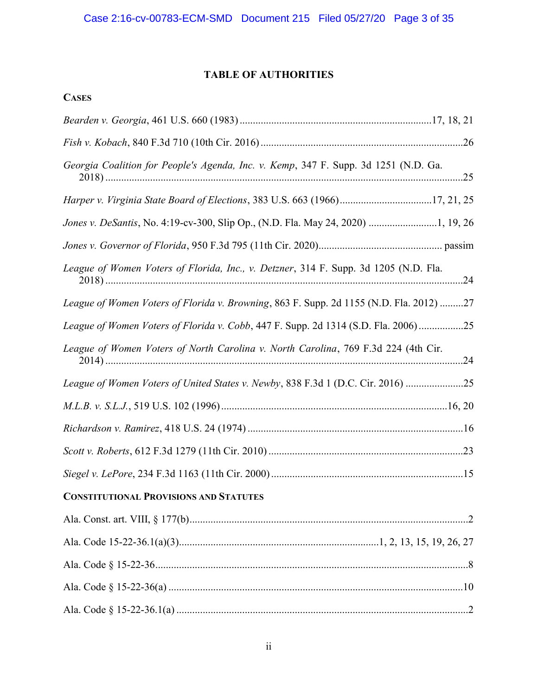# TABLE OF AUTHORITIES

| Georgia Coalition for People's Agenda, Inc. v. Kemp, 347 F. Supp. 3d 1251 (N.D. Ga.     |
|-----------------------------------------------------------------------------------------|
| Harper v. Virginia State Board of Elections, 383 U.S. 663 (1966)17, 21, 25              |
| Jones v. DeSantis, No. 4:19-cv-300, Slip Op., (N.D. Fla. May 24, 2020) 1, 19, 26        |
|                                                                                         |
| League of Women Voters of Florida, Inc., v. Detzner, 314 F. Supp. 3d 1205 (N.D. Fla.    |
| League of Women Voters of Florida v. Browning, 863 F. Supp. 2d 1155 (N.D. Fla. 2012) 27 |
| League of Women Voters of Florida v. Cobb, 447 F. Supp. 2d 1314 (S.D. Fla. 2006)25      |
| League of Women Voters of North Carolina v. North Carolina, 769 F.3d 224 (4th Cir.      |
| League of Women Voters of United States v. Newby, 838 F.3d 1 (D.C. Cir. 2016)           |
|                                                                                         |
|                                                                                         |
|                                                                                         |
|                                                                                         |
| <b>CONSTITUTIONAL PROVISIONS AND STATUTES</b>                                           |
|                                                                                         |
|                                                                                         |
|                                                                                         |
|                                                                                         |
|                                                                                         |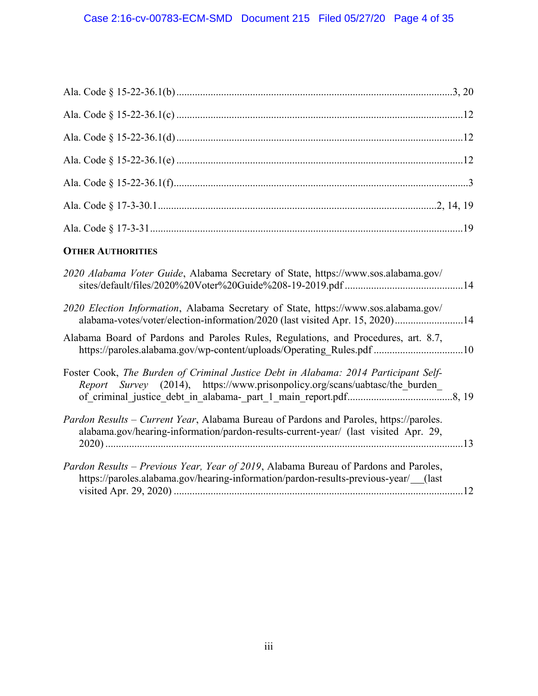# **OTHER AUTHORITIES**

| 2020 Alabama Voter Guide, Alabama Secretary of State, https://www.sos.alabama.gov/                                                                                            |  |
|-------------------------------------------------------------------------------------------------------------------------------------------------------------------------------|--|
| 2020 Election Information, Alabama Secretary of State, https://www.sos.alabama.gov/<br>alabama-votes/voter/election-information/2020 (last visited Apr. 15, 2020)14           |  |
| Alabama Board of Pardons and Paroles Rules, Regulations, and Procedures, art. 8.7,<br>https://paroles.alabama.gov/wp-content/uploads/Operating Rules.pdf 10                   |  |
| Foster Cook, The Burden of Criminal Justice Debt in Alabama: 2014 Participant Self-<br>Report Survey (2014), https://www.prisonpolicy.org/scans/uabtasc/the burden            |  |
| Pardon Results - Current Year, Alabama Bureau of Pardons and Paroles, https://paroles.<br>alabama.gov/hearing-information/pardon-results-current-year/ (last visited Apr. 29, |  |
| Pardon Results – Previous Year, Year of 2019, Alabama Bureau of Pardons and Paroles,<br>https://paroles.alabama.gov/hearing-information/pardon-results-previous-year/ (last   |  |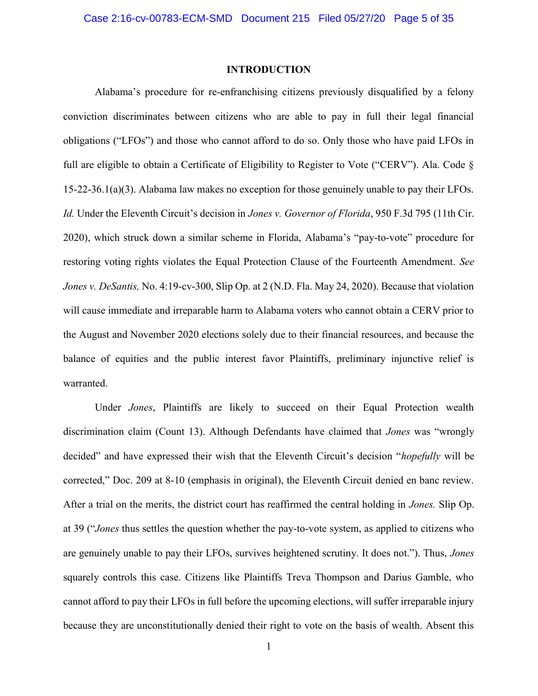### INTRODUCTION

Alabama's procedure for re-enfranchising citizens previously disqualified by a felony conviction discriminates between citizens who are able to pay in full their legal financial obligations ("LFOs") and those who cannot afford to do so. Only those who have paid LFOs in full are eligible to obtain a Certificate of Eligibility to Register to Vote ("CERV"). Ala. Code § 15-22-36.1(a)(3). Alabama law makes no exception for those genuinely unable to pay their LFOs. Id. Under the Eleventh Circuit's decision in *Jones v. Governor of Florida*, 950 F.3d 795 (11th Cir. 2020), which struck down a similar scheme in Florida, Alabama's "pay-to-vote" procedure for restoring voting rights violates the Equal Protection Clause of the Fourteenth Amendment. See Jones v. DeSantis, No. 4:19-cv-300, Slip Op. at 2 (N.D. Fla. May 24, 2020). Because that violation will cause immediate and irreparable harm to Alabama voters who cannot obtain a CERV prior to the August and November 2020 elections solely due to their financial resources, and because the balance of equities and the public interest favor Plaintiffs, preliminary injunctive relief is warranted.

Under Jones, Plaintiffs are likely to succeed on their Equal Protection wealth discrimination claim (Count 13). Although Defendants have claimed that Jones was "wrongly decided" and have expressed their wish that the Eleventh Circuit's decision "*hopefully* will be corrected," Doc. 209 at 8-10 (emphasis in original), the Eleventh Circuit denied en banc review. After a trial on the merits, the district court has reaffirmed the central holding in Jones. Slip Op. at 39 ("Jones thus settles the question whether the pay-to-vote system, as applied to citizens who are genuinely unable to pay their LFOs, survives heightened scrutiny. It does not."). Thus, Jones squarely controls this case. Citizens like Plaintiffs Treva Thompson and Darius Gamble, who cannot afford to pay their LFOs in full before the upcoming elections, will suffer irreparable injury because they are unconstitutionally denied their right to vote on the basis of wealth. Absent this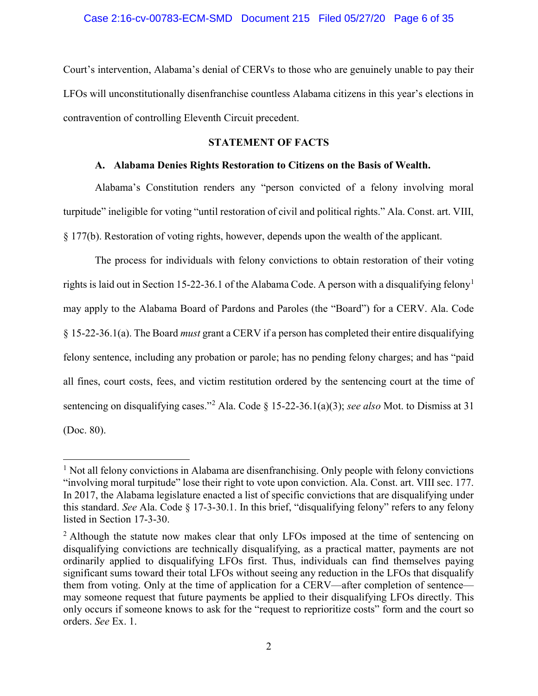Court's intervention, Alabama's denial of CERVs to those who are genuinely unable to pay their LFOs will unconstitutionally disenfranchise countless Alabama citizens in this year's elections in contravention of controlling Eleventh Circuit precedent.

# STATEMENT OF FACTS

### A. Alabama Denies Rights Restoration to Citizens on the Basis of Wealth.

Alabama's Constitution renders any "person convicted of a felony involving moral turpitude" ineligible for voting "until restoration of civil and political rights." Ala. Const. art. VIII, § 177(b). Restoration of voting rights, however, depends upon the wealth of the applicant.

The process for individuals with felony convictions to obtain restoration of their voting rights is laid out in Section 15-22-36.1 of the Alabama Code. A person with a disqualifying felony<sup>1</sup> may apply to the Alabama Board of Pardons and Paroles (the "Board") for a CERV. Ala. Code § 15-22-36.1(a). The Board must grant a CERV if a person has completed their entire disqualifying felony sentence, including any probation or parole; has no pending felony charges; and has "paid all fines, court costs, fees, and victim restitution ordered by the sentencing court at the time of sentencing on disqualifying cases."<sup>2</sup> Ala. Code § 15-22-36.1(a)(3); see also Mot. to Dismiss at 31 (Doc. 80).

<sup>&</sup>lt;sup>1</sup> Not all felony convictions in Alabama are disenfranchising. Only people with felony convictions "involving moral turpitude" lose their right to vote upon conviction. Ala. Const. art. VIII sec. 177. In 2017, the Alabama legislature enacted a list of specific convictions that are disqualifying under this standard. See Ala. Code § 17-3-30.1. In this brief, "disqualifying felony" refers to any felony listed in Section 17-3-30.

<sup>&</sup>lt;sup>2</sup> Although the statute now makes clear that only LFOs imposed at the time of sentencing on disqualifying convictions are technically disqualifying, as a practical matter, payments are not ordinarily applied to disqualifying LFOs first. Thus, individuals can find themselves paying significant sums toward their total LFOs without seeing any reduction in the LFOs that disqualify them from voting. Only at the time of application for a CERV—after completion of sentence may someone request that future payments be applied to their disqualifying LFOs directly. This only occurs if someone knows to ask for the "request to reprioritize costs" form and the court so orders. See Ex. 1.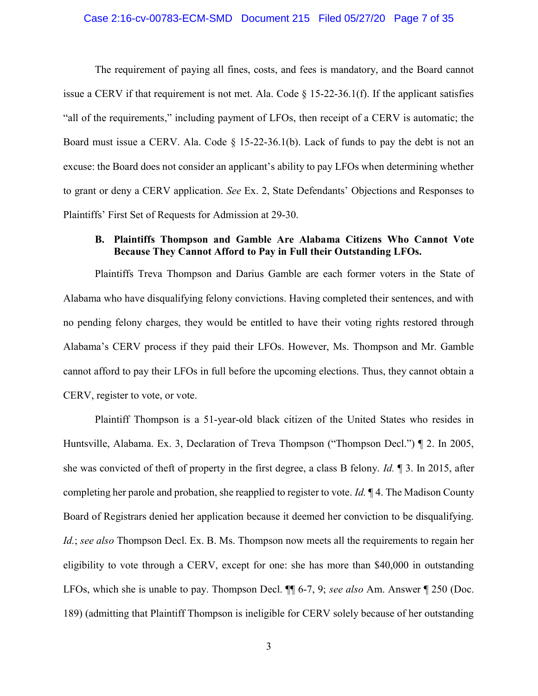#### Case 2:16-cv-00783-ECM-SMD Document 215 Filed 05/27/20 Page 7 of 35

The requirement of paying all fines, costs, and fees is mandatory, and the Board cannot issue a CERV if that requirement is not met. Ala. Code  $\S$  15-22-36.1(f). If the applicant satisfies "all of the requirements," including payment of LFOs, then receipt of a CERV is automatic; the Board must issue a CERV. Ala. Code  $\S$  15-22-36.1(b). Lack of funds to pay the debt is not an excuse: the Board does not consider an applicant's ability to pay LFOs when determining whether to grant or deny a CERV application. See Ex. 2, State Defendants' Objections and Responses to Plaintiffs' First Set of Requests for Admission at 29-30.

## B. Plaintiffs Thompson and Gamble Are Alabama Citizens Who Cannot Vote Because They Cannot Afford to Pay in Full their Outstanding LFOs.

Plaintiffs Treva Thompson and Darius Gamble are each former voters in the State of Alabama who have disqualifying felony convictions. Having completed their sentences, and with no pending felony charges, they would be entitled to have their voting rights restored through Alabama's CERV process if they paid their LFOs. However, Ms. Thompson and Mr. Gamble cannot afford to pay their LFOs in full before the upcoming elections. Thus, they cannot obtain a CERV, register to vote, or vote.

Plaintiff Thompson is a 51-year-old black citizen of the United States who resides in Huntsville, Alabama. Ex. 3, Declaration of Treva Thompson ("Thompson Decl.") ¶ 2. In 2005, she was convicted of theft of property in the first degree, a class B felony. Id.  $\parallel$  3. In 2015, after completing her parole and probation, she reapplied to register to vote. Id.  $\mathbb{I}$  4. The Madison County Board of Registrars denied her application because it deemed her conviction to be disqualifying. Id.; see also Thompson Decl. Ex. B. Ms. Thompson now meets all the requirements to regain her eligibility to vote through a CERV, except for one: she has more than \$40,000 in outstanding LFOs, which she is unable to pay. Thompson Decl.  $\P\P$  6-7, 9; see also Am. Answer  $\P$  250 (Doc. 189) (admitting that Plaintiff Thompson is ineligible for CERV solely because of her outstanding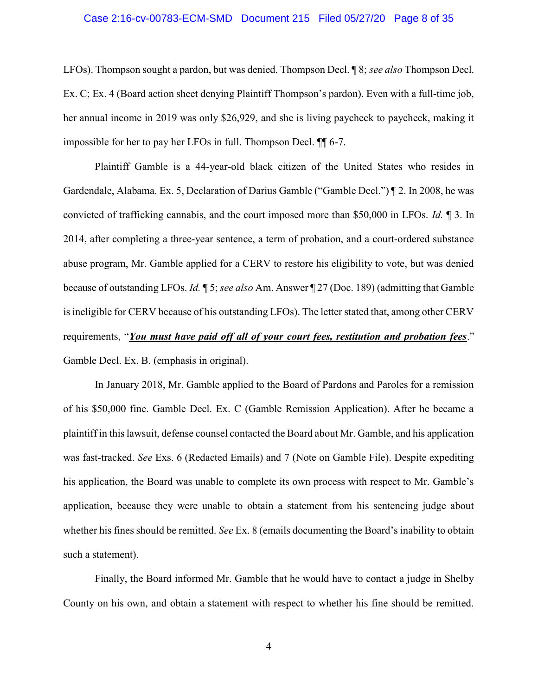#### Case 2:16-cv-00783-ECM-SMD Document 215 Filed 05/27/20 Page 8 of 35

LFOs). Thompson sought a pardon, but was denied. Thompson Decl.  $\sqrt{8}$ ; see also Thompson Decl. Ex. C; Ex. 4 (Board action sheet denying Plaintiff Thompson's pardon). Even with a full-time job, her annual income in 2019 was only \$26,929, and she is living paycheck to paycheck, making it impossible for her to pay her LFOs in full. Thompson Decl. ¶¶ 6-7.

 Plaintiff Gamble is a 44-year-old black citizen of the United States who resides in Gardendale, Alabama. Ex. 5, Declaration of Darius Gamble ("Gamble Decl.") ¶ 2. In 2008, he was convicted of trafficking cannabis, and the court imposed more than \$50,000 in LFOs. Id. ¶ 3. In 2014, after completing a three-year sentence, a term of probation, and a court-ordered substance abuse program, Mr. Gamble applied for a CERV to restore his eligibility to vote, but was denied because of outstanding LFOs. Id. ¶ 5; see also Am. Answer ¶ 27 (Doc. 189) (admitting that Gamble is ineligible for CERV because of his outstanding LFOs). The letter stated that, among other CERV requirements, "You must have paid off all of your court fees, restitution and probation fees." Gamble Decl. Ex. B. (emphasis in original).

In January 2018, Mr. Gamble applied to the Board of Pardons and Paroles for a remission of his \$50,000 fine. Gamble Decl. Ex. C (Gamble Remission Application). After he became a plaintiff in this lawsuit, defense counsel contacted the Board about Mr. Gamble, and his application was fast-tracked. See Exs. 6 (Redacted Emails) and 7 (Note on Gamble File). Despite expediting his application, the Board was unable to complete its own process with respect to Mr. Gamble's application, because they were unable to obtain a statement from his sentencing judge about whether his fines should be remitted. See Ex. 8 (emails documenting the Board's inability to obtain such a statement).

Finally, the Board informed Mr. Gamble that he would have to contact a judge in Shelby County on his own, and obtain a statement with respect to whether his fine should be remitted.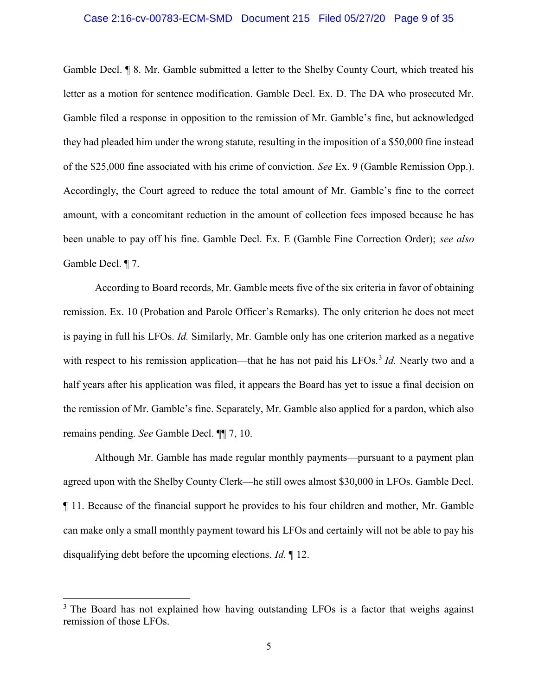# Case 2:16-cv-00783-ECM-SMD Document 215 Filed 05/27/20 Page 9 of 35

Gamble Decl. ¶ 8. Mr. Gamble submitted a letter to the Shelby County Court, which treated his letter as a motion for sentence modification. Gamble Decl. Ex. D. The DA who prosecuted Mr. Gamble filed a response in opposition to the remission of Mr. Gamble's fine, but acknowledged they had pleaded him under the wrong statute, resulting in the imposition of a \$50,000 fine instead of the \$25,000 fine associated with his crime of conviction. See Ex. 9 (Gamble Remission Opp.). Accordingly, the Court agreed to reduce the total amount of Mr. Gamble's fine to the correct amount, with a concomitant reduction in the amount of collection fees imposed because he has been unable to pay off his fine. Gamble Decl. Ex. E (Gamble Fine Correction Order); see also Gamble Decl. ¶ 7.

According to Board records, Mr. Gamble meets five of the six criteria in favor of obtaining remission. Ex. 10 (Probation and Parole Officer's Remarks). The only criterion he does not meet is paying in full his LFOs. Id. Similarly, Mr. Gamble only has one criterion marked as a negative with respect to his remission application—that he has not paid his LFOs.<sup>3</sup> Id. Nearly two and a half years after his application was filed, it appears the Board has yet to issue a final decision on the remission of Mr. Gamble's fine. Separately, Mr. Gamble also applied for a pardon, which also remains pending. See Gamble Decl. ¶¶ 7, 10.

Although Mr. Gamble has made regular monthly payments—pursuant to a payment plan agreed upon with the Shelby County Clerk—he still owes almost \$30,000 in LFOs. Gamble Decl. ¶ 11. Because of the financial support he provides to his four children and mother, Mr. Gamble can make only a small monthly payment toward his LFOs and certainly will not be able to pay his disqualifying debt before the upcoming elections. Id. ¶ 12.

<sup>&</sup>lt;sup>3</sup> The Board has not explained how having outstanding LFOs is a factor that weighs against remission of those LFOs.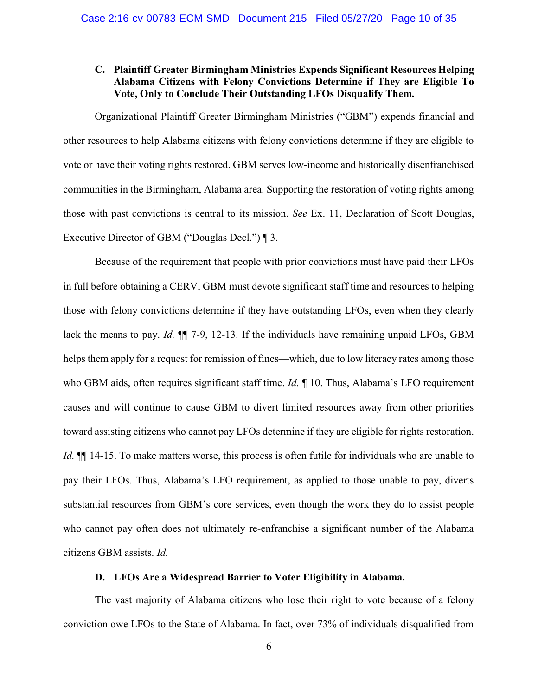### C. Plaintiff Greater Birmingham Ministries Expends Significant Resources Helping Alabama Citizens with Felony Convictions Determine if They are Eligible To Vote, Only to Conclude Their Outstanding LFOs Disqualify Them.

 Organizational Plaintiff Greater Birmingham Ministries ("GBM") expends financial and other resources to help Alabama citizens with felony convictions determine if they are eligible to vote or have their voting rights restored. GBM serves low-income and historically disenfranchised communities in the Birmingham, Alabama area. Supporting the restoration of voting rights among those with past convictions is central to its mission. See Ex. 11, Declaration of Scott Douglas, Executive Director of GBM ("Douglas Decl.") ¶ 3.

Because of the requirement that people with prior convictions must have paid their LFOs in full before obtaining a CERV, GBM must devote significant staff time and resources to helping those with felony convictions determine if they have outstanding LFOs, even when they clearly lack the means to pay. *Id.*  $\P$  7-9, 12-13. If the individuals have remaining unpaid LFOs, GBM helps them apply for a request for remission of fines—which, due to low literacy rates among those who GBM aids, often requires significant staff time. *Id.* 10. Thus, Alabama's LFO requirement causes and will continue to cause GBM to divert limited resources away from other priorities toward assisting citizens who cannot pay LFOs determine if they are eligible for rights restoration. Id.  $\P$  14-15. To make matters worse, this process is often futile for individuals who are unable to pay their LFOs. Thus, Alabama's LFO requirement, as applied to those unable to pay, diverts substantial resources from GBM's core services, even though the work they do to assist people who cannot pay often does not ultimately re-enfranchise a significant number of the Alabama citizens GBM assists. Id.

## D. LFOs Are a Widespread Barrier to Voter Eligibility in Alabama.

The vast majority of Alabama citizens who lose their right to vote because of a felony conviction owe LFOs to the State of Alabama. In fact, over 73% of individuals disqualified from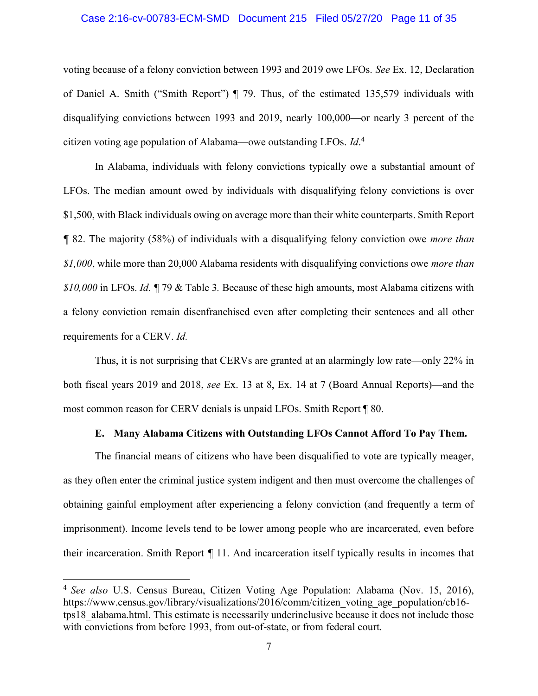#### Case 2:16-cv-00783-ECM-SMD Document 215 Filed 05/27/20 Page 11 of 35

voting because of a felony conviction between 1993 and 2019 owe LFOs. See Ex. 12, Declaration of Daniel A. Smith ("Smith Report") ¶ 79. Thus, of the estimated 135,579 individuals with disqualifying convictions between 1993 and 2019, nearly 100,000—or nearly 3 percent of the citizen voting age population of Alabama—owe outstanding LFOs.  $Id<sup>4</sup>$ 

In Alabama, individuals with felony convictions typically owe a substantial amount of LFOs. The median amount owed by individuals with disqualifying felony convictions is over \$1,500, with Black individuals owing on average more than their white counterparts. Smith Report ¶ 82. The majority (58%) of individuals with a disqualifying felony conviction owe more than  $$1,000$ , while more than 20,000 Alabama residents with disqualifying convictions owe *more than* \$10,000 in LFOs. Id. ¶ 79 & Table 3. Because of these high amounts, most Alabama citizens with a felony conviction remain disenfranchised even after completing their sentences and all other requirements for a CERV. Id.

Thus, it is not surprising that CERVs are granted at an alarmingly low rate—only 22% in both fiscal years 2019 and 2018, see Ex. 13 at 8, Ex. 14 at 7 (Board Annual Reports)—and the most common reason for CERV denials is unpaid LFOs. Smith Report ¶ 80.

### E. Many Alabama Citizens with Outstanding LFOs Cannot Afford To Pay Them.

The financial means of citizens who have been disqualified to vote are typically meager, as they often enter the criminal justice system indigent and then must overcome the challenges of obtaining gainful employment after experiencing a felony conviction (and frequently a term of imprisonment). Income levels tend to be lower among people who are incarcerated, even before their incarceration. Smith Report ¶ 11. And incarceration itself typically results in incomes that

<sup>&</sup>lt;sup>4</sup> See also U.S. Census Bureau, Citizen Voting Age Population: Alabama (Nov. 15, 2016), https://www.census.gov/library/visualizations/2016/comm/citizen\_voting\_age\_population/cb16tps18\_alabama.html. This estimate is necessarily underinclusive because it does not include those with convictions from before 1993, from out-of-state, or from federal court.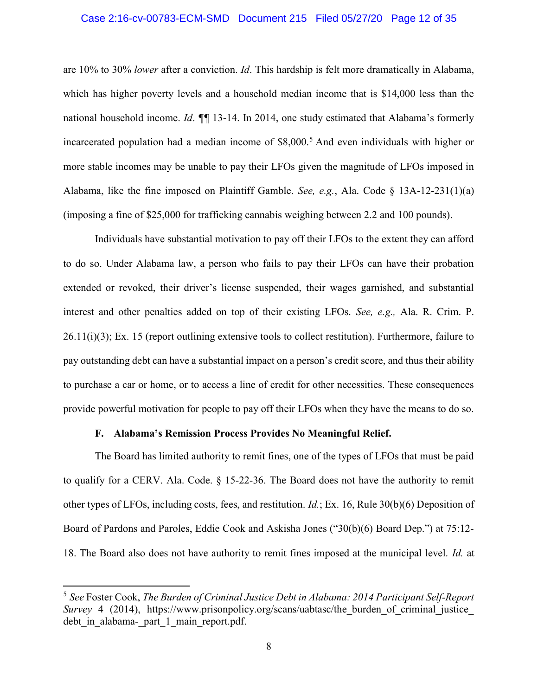#### Case 2:16-cv-00783-ECM-SMD Document 215 Filed 05/27/20 Page 12 of 35

are 10% to 30% lower after a conviction. Id. This hardship is felt more dramatically in Alabama, which has higher poverty levels and a household median income that is \$14,000 less than the national household income. *Id.* **¶** 13-14. In 2014, one study estimated that Alabama's formerly incarcerated population had a median income of \$8,000.<sup>5</sup> And even individuals with higher or more stable incomes may be unable to pay their LFOs given the magnitude of LFOs imposed in Alabama, like the fine imposed on Plaintiff Gamble. See, e.g., Ala. Code § 13A-12-231(1)(a) (imposing a fine of \$25,000 for trafficking cannabis weighing between 2.2 and 100 pounds).

Individuals have substantial motivation to pay off their LFOs to the extent they can afford to do so. Under Alabama law, a person who fails to pay their LFOs can have their probation extended or revoked, their driver's license suspended, their wages garnished, and substantial interest and other penalties added on top of their existing LFOs. See, e.g., Ala. R. Crim. P. 26.11(i)(3); Ex. 15 (report outlining extensive tools to collect restitution). Furthermore, failure to pay outstanding debt can have a substantial impact on a person's credit score, and thus their ability to purchase a car or home, or to access a line of credit for other necessities. These consequences provide powerful motivation for people to pay off their LFOs when they have the means to do so.

### F. Alabama's Remission Process Provides No Meaningful Relief.

 $\overline{a}$ 

The Board has limited authority to remit fines, one of the types of LFOs that must be paid to qualify for a CERV. Ala. Code. § 15-22-36. The Board does not have the authority to remit other types of LFOs, including costs, fees, and restitution. Id.; Ex. 16, Rule 30(b)(6) Deposition of Board of Pardons and Paroles, Eddie Cook and Askisha Jones ("30(b)(6) Board Dep.") at 75:12- 18. The Board also does not have authority to remit fines imposed at the municipal level. Id. at

<sup>5</sup> See Foster Cook, The Burden of Criminal Justice Debt in Alabama: 2014 Participant Self-Report Survey 4 (2014), https://www.prisonpolicy.org/scans/uabtasc/the burden of criminal justice debt in alabama- part 1 main report.pdf.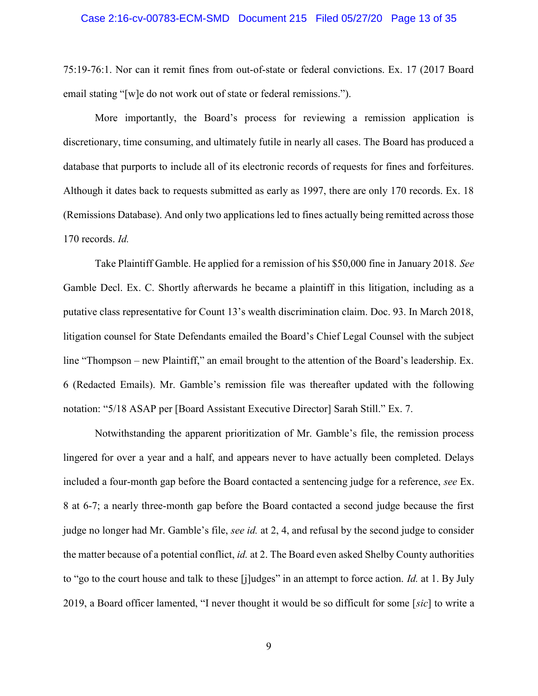#### Case 2:16-cv-00783-ECM-SMD Document 215 Filed 05/27/20 Page 13 of 35

75:19-76:1. Nor can it remit fines from out-of-state or federal convictions. Ex. 17 (2017 Board email stating "[w]e do not work out of state or federal remissions.").

More importantly, the Board's process for reviewing a remission application is discretionary, time consuming, and ultimately futile in nearly all cases. The Board has produced a database that purports to include all of its electronic records of requests for fines and forfeitures. Although it dates back to requests submitted as early as 1997, there are only 170 records. Ex. 18 (Remissions Database). And only two applications led to fines actually being remitted across those 170 records. Id.

Take Plaintiff Gamble. He applied for a remission of his \$50,000 fine in January 2018. See Gamble Decl. Ex. C. Shortly afterwards he became a plaintiff in this litigation, including as a putative class representative for Count 13's wealth discrimination claim. Doc. 93. In March 2018, litigation counsel for State Defendants emailed the Board's Chief Legal Counsel with the subject line "Thompson – new Plaintiff," an email brought to the attention of the Board's leadership. Ex. 6 (Redacted Emails). Mr. Gamble's remission file was thereafter updated with the following notation: "5/18 ASAP per [Board Assistant Executive Director] Sarah Still." Ex. 7.

Notwithstanding the apparent prioritization of Mr. Gamble's file, the remission process lingered for over a year and a half, and appears never to have actually been completed. Delays included a four-month gap before the Board contacted a sentencing judge for a reference, see Ex. 8 at 6-7; a nearly three-month gap before the Board contacted a second judge because the first judge no longer had Mr. Gamble's file, see id. at 2, 4, and refusal by the second judge to consider the matter because of a potential conflict, *id.* at 2. The Board even asked Shelby County authorities to "go to the court house and talk to these [j]udges" in an attempt to force action. Id. at 1. By July 2019, a Board officer lamented, "I never thought it would be so difficult for some [sic] to write a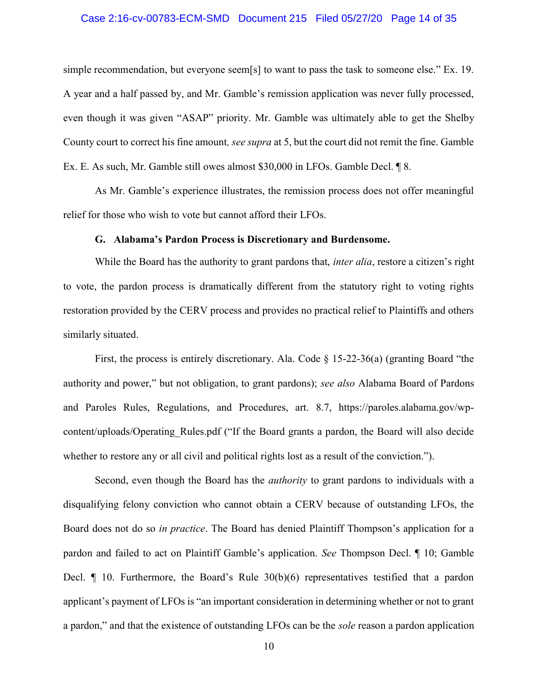#### Case 2:16-cv-00783-ECM-SMD Document 215 Filed 05/27/20 Page 14 of 35

simple recommendation, but everyone seem[s] to want to pass the task to someone else." Ex. 19. A year and a half passed by, and Mr. Gamble's remission application was never fully processed, even though it was given "ASAP" priority. Mr. Gamble was ultimately able to get the Shelby County court to correct his fine amount, see supra at 5, but the court did not remit the fine. Gamble Ex. E. As such, Mr. Gamble still owes almost \$30,000 in LFOs. Gamble Decl. ¶ 8.

As Mr. Gamble's experience illustrates, the remission process does not offer meaningful relief for those who wish to vote but cannot afford their LFOs.

#### G. Alabama's Pardon Process is Discretionary and Burdensome.

While the Board has the authority to grant pardons that, *inter alia*, restore a citizen's right to vote, the pardon process is dramatically different from the statutory right to voting rights restoration provided by the CERV process and provides no practical relief to Plaintiffs and others similarly situated.

First, the process is entirely discretionary. Ala. Code  $\S$  15-22-36(a) (granting Board "the authority and power," but not obligation, to grant pardons); see also Alabama Board of Pardons and Paroles Rules, Regulations, and Procedures, art. 8.7, https://paroles.alabama.gov/wpcontent/uploads/Operating Rules.pdf ("If the Board grants a pardon, the Board will also decide whether to restore any or all civil and political rights lost as a result of the conviction.").

Second, even though the Board has the *authority* to grant pardons to individuals with a disqualifying felony conviction who cannot obtain a CERV because of outstanding LFOs, the Board does not do so in practice. The Board has denied Plaintiff Thompson's application for a pardon and failed to act on Plaintiff Gamble's application. See Thompson Decl. ¶ 10; Gamble Decl. ¶ 10. Furthermore, the Board's Rule 30(b)(6) representatives testified that a pardon applicant's payment of LFOs is "an important consideration in determining whether or not to grant a pardon," and that the existence of outstanding LFOs can be the sole reason a pardon application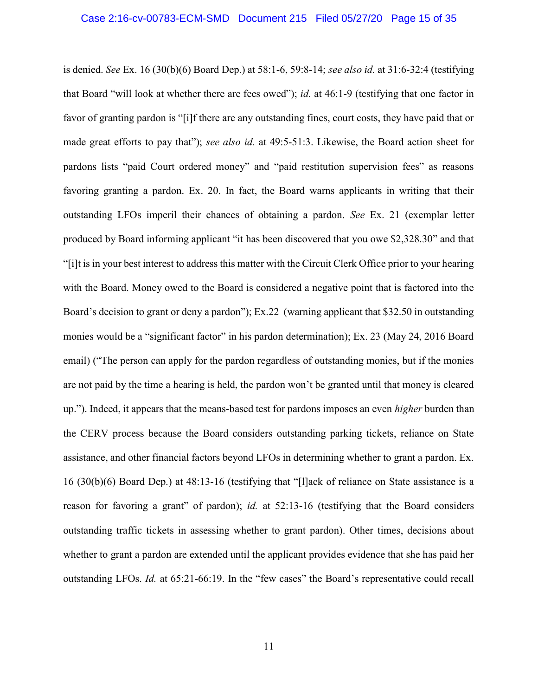is denied. See Ex. 16 (30(b)(6) Board Dep.) at 58:1-6, 59:8-14; see also id. at 31:6-32:4 (testifying that Board "will look at whether there are fees owed"); id. at 46:1-9 (testifying that one factor in favor of granting pardon is "[i]f there are any outstanding fines, court costs, they have paid that or made great efforts to pay that"); see also id. at 49:5-51:3. Likewise, the Board action sheet for pardons lists "paid Court ordered money" and "paid restitution supervision fees" as reasons favoring granting a pardon. Ex. 20. In fact, the Board warns applicants in writing that their outstanding LFOs imperil their chances of obtaining a pardon. See Ex. 21 (exemplar letter produced by Board informing applicant "it has been discovered that you owe \$2,328.30" and that "[i]t is in your best interest to address this matter with the Circuit Clerk Office prior to your hearing with the Board. Money owed to the Board is considered a negative point that is factored into the Board's decision to grant or deny a pardon"); Ex.22 (warning applicant that \$32.50 in outstanding monies would be a "significant factor" in his pardon determination); Ex. 23 (May 24, 2016 Board email) ("The person can apply for the pardon regardless of outstanding monies, but if the monies are not paid by the time a hearing is held, the pardon won't be granted until that money is cleared up."). Indeed, it appears that the means-based test for pardons imposes an even higher burden than the CERV process because the Board considers outstanding parking tickets, reliance on State assistance, and other financial factors beyond LFOs in determining whether to grant a pardon. Ex. 16 (30(b)(6) Board Dep.) at 48:13-16 (testifying that "[l]ack of reliance on State assistance is a reason for favoring a grant" of pardon); id. at 52:13-16 (testifying that the Board considers outstanding traffic tickets in assessing whether to grant pardon). Other times, decisions about whether to grant a pardon are extended until the applicant provides evidence that she has paid her outstanding LFOs. Id. at 65:21-66:19. In the "few cases" the Board's representative could recall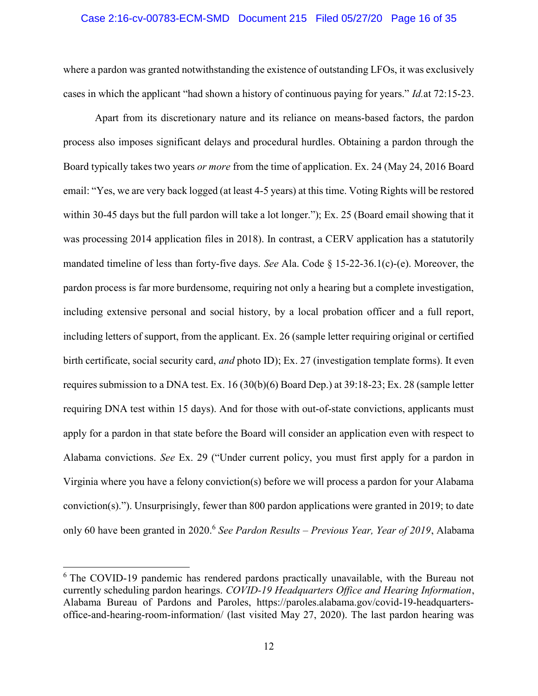#### Case 2:16-cv-00783-ECM-SMD Document 215 Filed 05/27/20 Page 16 of 35

where a pardon was granted notwithstanding the existence of outstanding LFOs, it was exclusively cases in which the applicant "had shown a history of continuous paying for years." Id.at 72:15-23.

Apart from its discretionary nature and its reliance on means-based factors, the pardon process also imposes significant delays and procedural hurdles. Obtaining a pardon through the Board typically takes two years or more from the time of application. Ex. 24 (May 24, 2016 Board email: "Yes, we are very back logged (at least 4-5 years) at this time. Voting Rights will be restored within 30-45 days but the full pardon will take a lot longer."); Ex. 25 (Board email showing that it was processing 2014 application files in 2018). In contrast, a CERV application has a statutorily mandated timeline of less than forty-five days. See Ala. Code § 15-22-36.1(c)-(e). Moreover, the pardon process is far more burdensome, requiring not only a hearing but a complete investigation, including extensive personal and social history, by a local probation officer and a full report, including letters of support, from the applicant. Ex. 26 (sample letter requiring original or certified birth certificate, social security card, and photo ID); Ex. 27 (investigation template forms). It even requires submission to a DNA test. Ex. 16 (30(b)(6) Board Dep.) at 39:18-23; Ex. 28 (sample letter requiring DNA test within 15 days). And for those with out-of-state convictions, applicants must apply for a pardon in that state before the Board will consider an application even with respect to Alabama convictions. See Ex. 29 ("Under current policy, you must first apply for a pardon in Virginia where you have a felony conviction(s) before we will process a pardon for your Alabama conviction(s)."). Unsurprisingly, fewer than 800 pardon applications were granted in 2019; to date only 60 have been granted in 2020.<sup>6</sup> See Pardon Results – Previous Year, Year of 2019, Alabama

<sup>&</sup>lt;sup>6</sup> The COVID-19 pandemic has rendered pardons practically unavailable, with the Bureau not currently scheduling pardon hearings. COVID-19 Headquarters Office and Hearing Information, Alabama Bureau of Pardons and Paroles, https://paroles.alabama.gov/covid-19-headquartersoffice-and-hearing-room-information/ (last visited May 27, 2020). The last pardon hearing was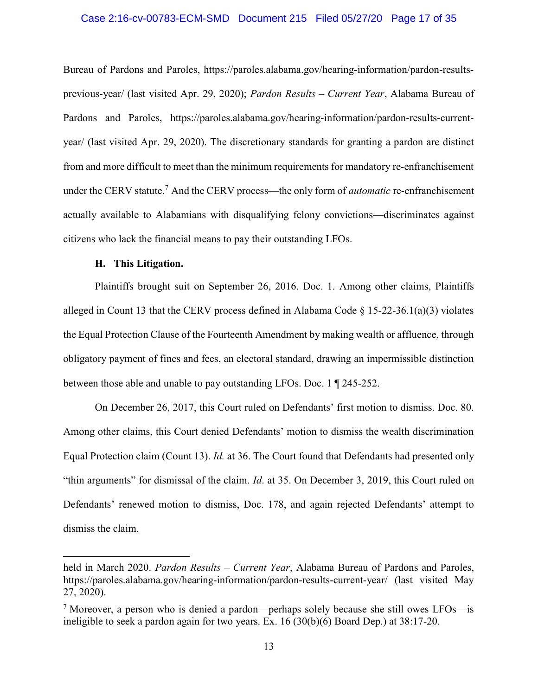#### Case 2:16-cv-00783-ECM-SMD Document 215 Filed 05/27/20 Page 17 of 35

Bureau of Pardons and Paroles, https://paroles.alabama.gov/hearing-information/pardon-resultsprevious-year/ (last visited Apr. 29, 2020); Pardon Results – Current Year, Alabama Bureau of Pardons and Paroles, https://paroles.alabama.gov/hearing-information/pardon-results-currentyear/ (last visited Apr. 29, 2020). The discretionary standards for granting a pardon are distinct from and more difficult to meet than the minimum requirements for mandatory re-enfranchisement under the CERV statute.<sup>7</sup> And the CERV process—the only form of *automatic* re-enfranchisement actually available to Alabamians with disqualifying felony convictions—discriminates against citizens who lack the financial means to pay their outstanding LFOs.

#### H. This Litigation.

 $\overline{a}$ 

Plaintiffs brought suit on September 26, 2016. Doc. 1. Among other claims, Plaintiffs alleged in Count 13 that the CERV process defined in Alabama Code  $\S$  15-22-36.1(a)(3) violates the Equal Protection Clause of the Fourteenth Amendment by making wealth or affluence, through obligatory payment of fines and fees, an electoral standard, drawing an impermissible distinction between those able and unable to pay outstanding LFOs. Doc. 1 ¶ 245-252.

On December 26, 2017, this Court ruled on Defendants' first motion to dismiss. Doc. 80. Among other claims, this Court denied Defendants' motion to dismiss the wealth discrimination Equal Protection claim (Count 13). Id. at 36. The Court found that Defendants had presented only "thin arguments" for dismissal of the claim. *Id.* at 35. On December 3, 2019, this Court ruled on Defendants' renewed motion to dismiss, Doc. 178, and again rejected Defendants' attempt to dismiss the claim.

held in March 2020. Pardon Results – Current Year, Alabama Bureau of Pardons and Paroles, https://paroles.alabama.gov/hearing-information/pardon-results-current-year/ (last visited May 27, 2020).

<sup>&</sup>lt;sup>7</sup> Moreover, a person who is denied a pardon—perhaps solely because she still owes LFOs—is ineligible to seek a pardon again for two years. Ex. 16 (30(b)(6) Board Dep.) at 38:17-20.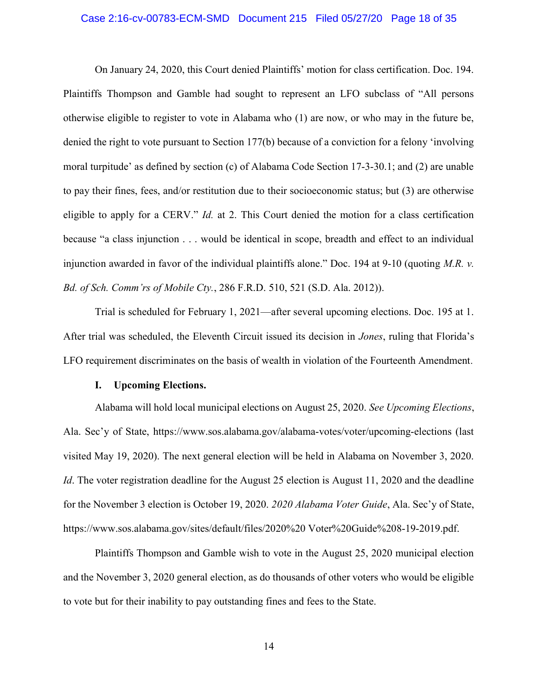#### Case 2:16-cv-00783-ECM-SMD Document 215 Filed 05/27/20 Page 18 of 35

On January 24, 2020, this Court denied Plaintiffs' motion for class certification. Doc. 194. Plaintiffs Thompson and Gamble had sought to represent an LFO subclass of "All persons otherwise eligible to register to vote in Alabama who (1) are now, or who may in the future be, denied the right to vote pursuant to Section 177(b) because of a conviction for a felony 'involving moral turpitude' as defined by section (c) of Alabama Code Section 17-3-30.1; and (2) are unable to pay their fines, fees, and/or restitution due to their socioeconomic status; but (3) are otherwise eligible to apply for a CERV." *Id.* at 2. This Court denied the motion for a class certification because "a class injunction . . . would be identical in scope, breadth and effect to an individual injunction awarded in favor of the individual plaintiffs alone." Doc. 194 at 9-10 (quoting  $M.R.$  v. Bd. of Sch. Comm'rs of Mobile Cty., 286 F.R.D. 510, 521 (S.D. Ala. 2012)).

Trial is scheduled for February 1, 2021—after several upcoming elections. Doc. 195 at 1. After trial was scheduled, the Eleventh Circuit issued its decision in Jones, ruling that Florida's LFO requirement discriminates on the basis of wealth in violation of the Fourteenth Amendment.

#### I. Upcoming Elections.

Alabama will hold local municipal elections on August 25, 2020. See Upcoming Elections, Ala. Sec'y of State, https://www.sos.alabama.gov/alabama-votes/voter/upcoming-elections (last visited May 19, 2020). The next general election will be held in Alabama on November 3, 2020. Id. The voter registration deadline for the August 25 election is August 11, 2020 and the deadline for the November 3 election is October 19, 2020. 2020 Alabama Voter Guide, Ala. Sec'y of State, https://www.sos.alabama.gov/sites/default/files/2020%20 Voter%20Guide%208-19-2019.pdf.

Plaintiffs Thompson and Gamble wish to vote in the August 25, 2020 municipal election and the November 3, 2020 general election, as do thousands of other voters who would be eligible to vote but for their inability to pay outstanding fines and fees to the State.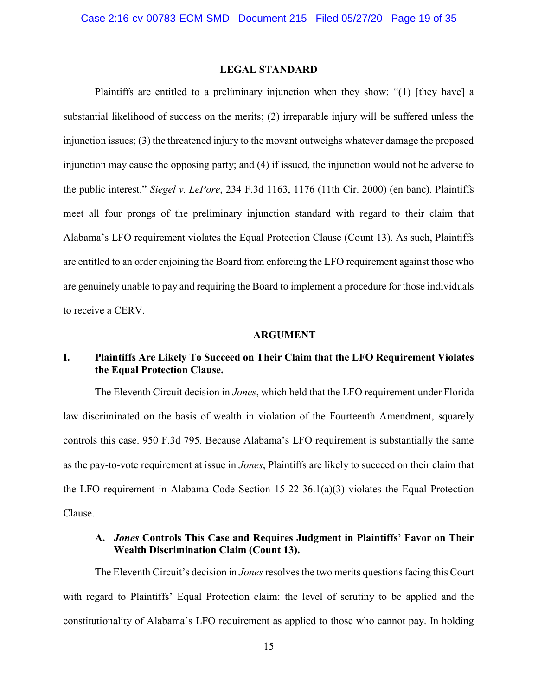### LEGAL STANDARD

Plaintiffs are entitled to a preliminary injunction when they show: "(1) [they have] a substantial likelihood of success on the merits; (2) irreparable injury will be suffered unless the injunction issues; (3) the threatened injury to the movant outweighs whatever damage the proposed injunction may cause the opposing party; and (4) if issued, the injunction would not be adverse to the public interest." Siegel v. LePore, 234 F.3d 1163, 1176 (11th Cir. 2000) (en banc). Plaintiffs meet all four prongs of the preliminary injunction standard with regard to their claim that Alabama's LFO requirement violates the Equal Protection Clause (Count 13). As such, Plaintiffs are entitled to an order enjoining the Board from enforcing the LFO requirement against those who are genuinely unable to pay and requiring the Board to implement a procedure for those individuals to receive a CERV.

#### ARGUMENT

# I. Plaintiffs Are Likely To Succeed on Their Claim that the LFO Requirement Violates the Equal Protection Clause.

The Eleventh Circuit decision in *Jones*, which held that the LFO requirement under Florida law discriminated on the basis of wealth in violation of the Fourteenth Amendment, squarely controls this case. 950 F.3d 795. Because Alabama's LFO requirement is substantially the same as the pay-to-vote requirement at issue in Jones, Plaintiffs are likely to succeed on their claim that the LFO requirement in Alabama Code Section 15-22-36.1(a)(3) violates the Equal Protection Clause.

## A. Jones Controls This Case and Requires Judgment in Plaintiffs' Favor on Their Wealth Discrimination Claim (Count 13).

The Eleventh Circuit's decision in *Jones* resolves the two merits questions facing this Court with regard to Plaintiffs' Equal Protection claim: the level of scrutiny to be applied and the constitutionality of Alabama's LFO requirement as applied to those who cannot pay. In holding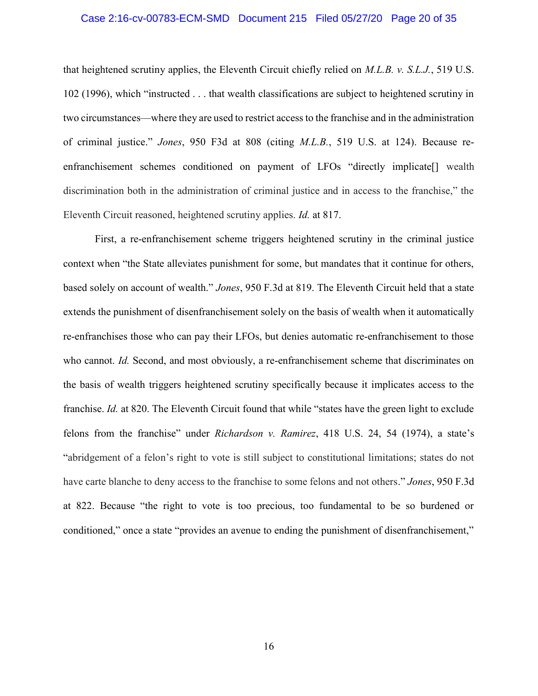# Case 2:16-cv-00783-ECM-SMD Document 215 Filed 05/27/20 Page 20 of 35

that heightened scrutiny applies, the Eleventh Circuit chiefly relied on  $M.L.B. v. S.L.J.$ , 519 U.S. 102 (1996), which "instructed . . . that wealth classifications are subject to heightened scrutiny in two circumstances—where they are used to restrict access to the franchise and in the administration of criminal justice." Jones, 950 F3d at 808 (citing M.L.B., 519 U.S. at 124). Because reenfranchisement schemes conditioned on payment of LFOs "directly implicate[] wealth discrimination both in the administration of criminal justice and in access to the franchise," the Eleventh Circuit reasoned, heightened scrutiny applies. Id. at 817.

First, a re-enfranchisement scheme triggers heightened scrutiny in the criminal justice context when "the State alleviates punishment for some, but mandates that it continue for others, based solely on account of wealth." Jones, 950 F.3d at 819. The Eleventh Circuit held that a state extends the punishment of disenfranchisement solely on the basis of wealth when it automatically re-enfranchises those who can pay their LFOs, but denies automatic re-enfranchisement to those who cannot. Id. Second, and most obviously, a re-enfranchisement scheme that discriminates on the basis of wealth triggers heightened scrutiny specifically because it implicates access to the franchise. Id. at 820. The Eleventh Circuit found that while "states have the green light to exclude felons from the franchise" under Richardson v. Ramirez, 418 U.S. 24, 54 (1974), a state's "abridgement of a felon's right to vote is still subject to constitutional limitations; states do not have carte blanche to deny access to the franchise to some felons and not others." Jones, 950 F.3d at 822. Because "the right to vote is too precious, too fundamental to be so burdened or conditioned," once a state "provides an avenue to ending the punishment of disenfranchisement,"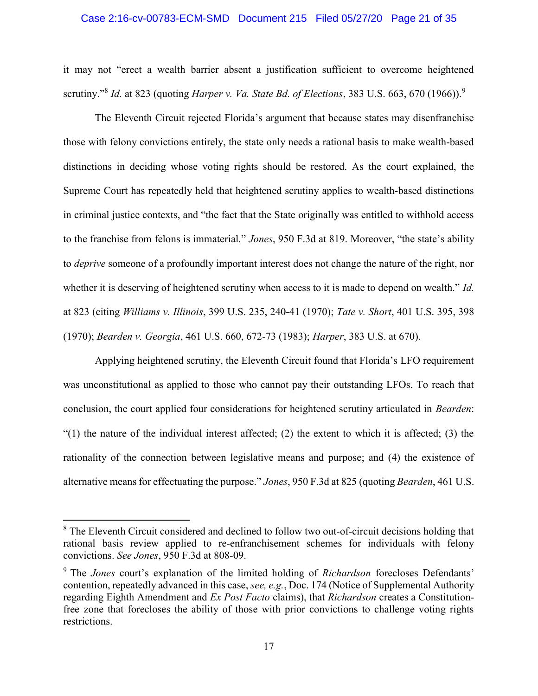#### Case 2:16-cv-00783-ECM-SMD Document 215 Filed 05/27/20 Page 21 of 35

it may not "erect a wealth barrier absent a justification sufficient to overcome heightened scrutiny."<sup>8</sup> Id. at 823 (quoting Harper v. Va. State Bd. of Elections, 383 U.S. 663, 670 (1966)).<sup>9</sup>

The Eleventh Circuit rejected Florida's argument that because states may disenfranchise those with felony convictions entirely, the state only needs a rational basis to make wealth-based distinctions in deciding whose voting rights should be restored. As the court explained, the Supreme Court has repeatedly held that heightened scrutiny applies to wealth-based distinctions in criminal justice contexts, and "the fact that the State originally was entitled to withhold access to the franchise from felons is immaterial." Jones, 950 F.3d at 819. Moreover, "the state's ability to deprive someone of a profoundly important interest does not change the nature of the right, nor whether it is deserving of heightened scrutiny when access to it is made to depend on wealth." *Id.* at 823 (citing Williams v. Illinois, 399 U.S. 235, 240-41 (1970); Tate v. Short, 401 U.S. 395, 398 (1970); Bearden v. Georgia, 461 U.S. 660, 672-73 (1983); Harper, 383 U.S. at 670).

Applying heightened scrutiny, the Eleventh Circuit found that Florida's LFO requirement was unconstitutional as applied to those who cannot pay their outstanding LFOs. To reach that conclusion, the court applied four considerations for heightened scrutiny articulated in Bearden: "(1) the nature of the individual interest affected; (2) the extent to which it is affected; (3) the rationality of the connection between legislative means and purpose; and (4) the existence of alternative means for effectuating the purpose." Jones, 950 F.3d at 825 (quoting Bearden, 461 U.S.

<sup>&</sup>lt;sup>8</sup> The Eleventh Circuit considered and declined to follow two out-of-circuit decisions holding that rational basis review applied to re-enfranchisement schemes for individuals with felony convictions. See Jones, 950 F.3d at 808-09.

<sup>&</sup>lt;sup>9</sup> The *Jones* court's explanation of the limited holding of *Richardson* forecloses Defendants' contention, repeatedly advanced in this case, see, e.g., Doc. 174 (Notice of Supplemental Authority regarding Eighth Amendment and Ex Post Facto claims), that Richardson creates a Constitutionfree zone that forecloses the ability of those with prior convictions to challenge voting rights restrictions.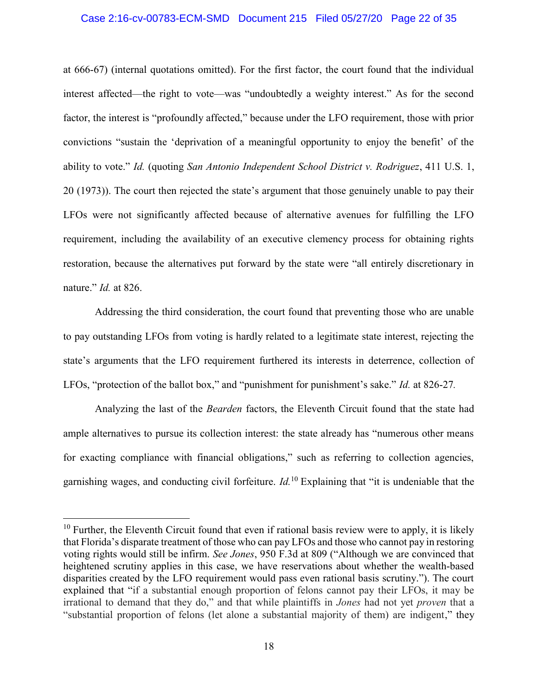#### Case 2:16-cv-00783-ECM-SMD Document 215 Filed 05/27/20 Page 22 of 35

at 666-67) (internal quotations omitted). For the first factor, the court found that the individual interest affected—the right to vote—was "undoubtedly a weighty interest." As for the second factor, the interest is "profoundly affected," because under the LFO requirement, those with prior convictions "sustain the 'deprivation of a meaningful opportunity to enjoy the benefit' of the ability to vote." Id. (quoting San Antonio Independent School District v. Rodriguez, 411 U.S. 1, 20 (1973)). The court then rejected the state's argument that those genuinely unable to pay their LFOs were not significantly affected because of alternative avenues for fulfilling the LFO requirement, including the availability of an executive clemency process for obtaining rights restoration, because the alternatives put forward by the state were "all entirely discretionary in nature." *Id.* at 826.

Addressing the third consideration, the court found that preventing those who are unable to pay outstanding LFOs from voting is hardly related to a legitimate state interest, rejecting the state's arguments that the LFO requirement furthered its interests in deterrence, collection of LFOs, "protection of the ballot box," and "punishment for punishment's sake." *Id.* at 826-27.

Analyzing the last of the *Bearden* factors, the Eleventh Circuit found that the state had ample alternatives to pursue its collection interest: the state already has "numerous other means for exacting compliance with financial obligations," such as referring to collection agencies, garnishing wages, and conducting civil forfeiture.  $Id<sup>10</sup>$  Explaining that "it is undeniable that the

 $10$  Further, the Eleventh Circuit found that even if rational basis review were to apply, it is likely that Florida's disparate treatment of those who can pay LFOs and those who cannot pay in restoring voting rights would still be infirm. See Jones, 950 F.3d at 809 ("Although we are convinced that heightened scrutiny applies in this case, we have reservations about whether the wealth-based disparities created by the LFO requirement would pass even rational basis scrutiny."). The court explained that "if a substantial enough proportion of felons cannot pay their LFOs, it may be irrational to demand that they do," and that while plaintiffs in Jones had not yet proven that a "substantial proportion of felons (let alone a substantial majority of them) are indigent," they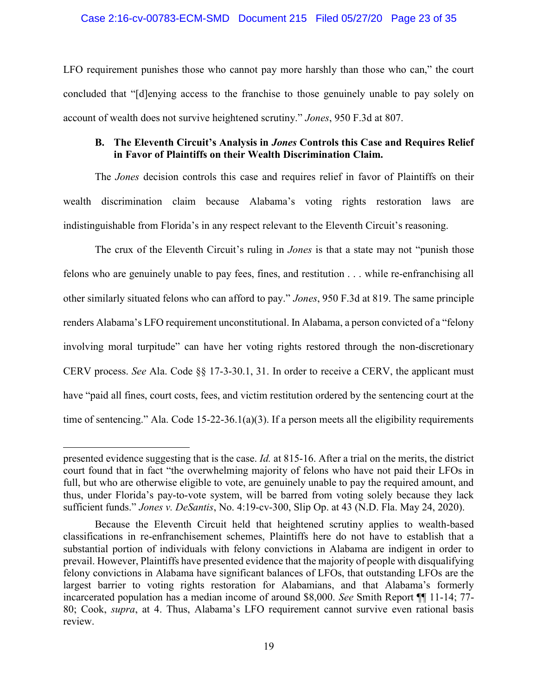### Case 2:16-cv-00783-ECM-SMD Document 215 Filed 05/27/20 Page 23 of 35

LFO requirement punishes those who cannot pay more harshly than those who can," the court concluded that "[d]enying access to the franchise to those genuinely unable to pay solely on account of wealth does not survive heightened scrutiny." Jones, 950 F.3d at 807.

### B. The Eleventh Circuit's Analysis in *Jones* Controls this Case and Requires Relief in Favor of Plaintiffs on their Wealth Discrimination Claim.

The *Jones* decision controls this case and requires relief in favor of Plaintiffs on their wealth discrimination claim because Alabama's voting rights restoration laws are indistinguishable from Florida's in any respect relevant to the Eleventh Circuit's reasoning.

The crux of the Eleventh Circuit's ruling in *Jones* is that a state may not "punish those felons who are genuinely unable to pay fees, fines, and restitution . . . while re-enfranchising all other similarly situated felons who can afford to pay." Jones, 950 F.3d at 819. The same principle renders Alabama's LFO requirement unconstitutional. In Alabama, a person convicted of a "felony involving moral turpitude" can have her voting rights restored through the non-discretionary CERV process. See Ala. Code §§ 17-3-30.1, 31. In order to receive a CERV, the applicant must have "paid all fines, court costs, fees, and victim restitution ordered by the sentencing court at the time of sentencing." Ala. Code 15-22-36.1(a)(3). If a person meets all the eligibility requirements

presented evidence suggesting that is the case. Id. at 815-16. After a trial on the merits, the district court found that in fact "the overwhelming majority of felons who have not paid their LFOs in full, but who are otherwise eligible to vote, are genuinely unable to pay the required amount, and thus, under Florida's pay-to-vote system, will be barred from voting solely because they lack sufficient funds." Jones v. DeSantis, No. 4:19-cv-300, Slip Op. at 43 (N.D. Fla. May 24, 2020).

Because the Eleventh Circuit held that heightened scrutiny applies to wealth-based classifications in re-enfranchisement schemes, Plaintiffs here do not have to establish that a substantial portion of individuals with felony convictions in Alabama are indigent in order to prevail. However, Plaintiffs have presented evidence that the majority of people with disqualifying felony convictions in Alabama have significant balances of LFOs, that outstanding LFOs are the largest barrier to voting rights restoration for Alabamians, and that Alabama's formerly incarcerated population has a median income of around \$8,000. See Smith Report ¶¶ 11-14; 77- 80; Cook, supra, at 4. Thus, Alabama's LFO requirement cannot survive even rational basis review.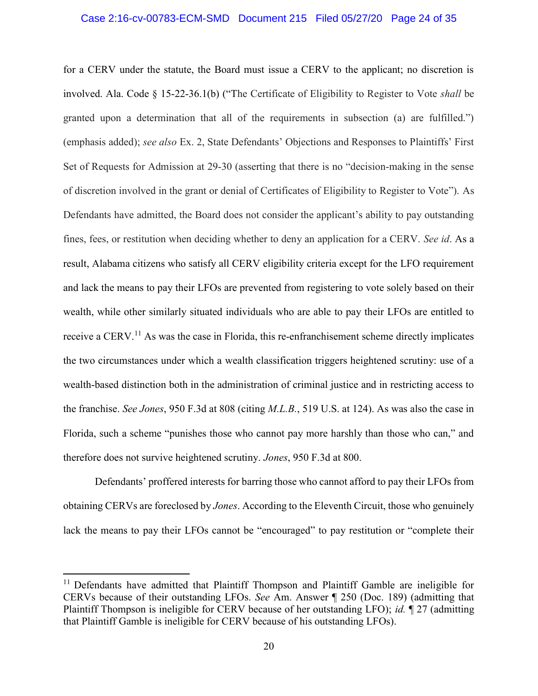#### Case 2:16-cv-00783-ECM-SMD Document 215 Filed 05/27/20 Page 24 of 35

for a CERV under the statute, the Board must issue a CERV to the applicant; no discretion is involved. Ala. Code § 15-22-36.1(b) ("The Certificate of Eligibility to Register to Vote shall be granted upon a determination that all of the requirements in subsection (a) are fulfilled.") (emphasis added); see also Ex. 2, State Defendants' Objections and Responses to Plaintiffs' First Set of Requests for Admission at 29-30 (asserting that there is no "decision-making in the sense of discretion involved in the grant or denial of Certificates of Eligibility to Register to Vote"). As Defendants have admitted, the Board does not consider the applicant's ability to pay outstanding fines, fees, or restitution when deciding whether to deny an application for a CERV. See id. As a result, Alabama citizens who satisfy all CERV eligibility criteria except for the LFO requirement and lack the means to pay their LFOs are prevented from registering to vote solely based on their wealth, while other similarly situated individuals who are able to pay their LFOs are entitled to receive a CERV.<sup>11</sup> As was the case in Florida, this re-enfranchisement scheme directly implicates the two circumstances under which a wealth classification triggers heightened scrutiny: use of a wealth-based distinction both in the administration of criminal justice and in restricting access to the franchise. See Jones, 950 F.3d at 808 (citing M.L.B., 519 U.S. at 124). As was also the case in Florida, such a scheme "punishes those who cannot pay more harshly than those who can," and therefore does not survive heightened scrutiny. Jones, 950 F.3d at 800.

Defendants' proffered interests for barring those who cannot afford to pay their LFOs from obtaining CERVs are foreclosed by Jones. According to the Eleventh Circuit, those who genuinely lack the means to pay their LFOs cannot be "encouraged" to pay restitution or "complete their

<sup>&</sup>lt;sup>11</sup> Defendants have admitted that Plaintiff Thompson and Plaintiff Gamble are ineligible for CERVs because of their outstanding LFOs. See Am. Answer ¶ 250 (Doc. 189) (admitting that Plaintiff Thompson is ineligible for CERV because of her outstanding LFO); id. ¶ 27 (admitting that Plaintiff Gamble is ineligible for CERV because of his outstanding LFOs).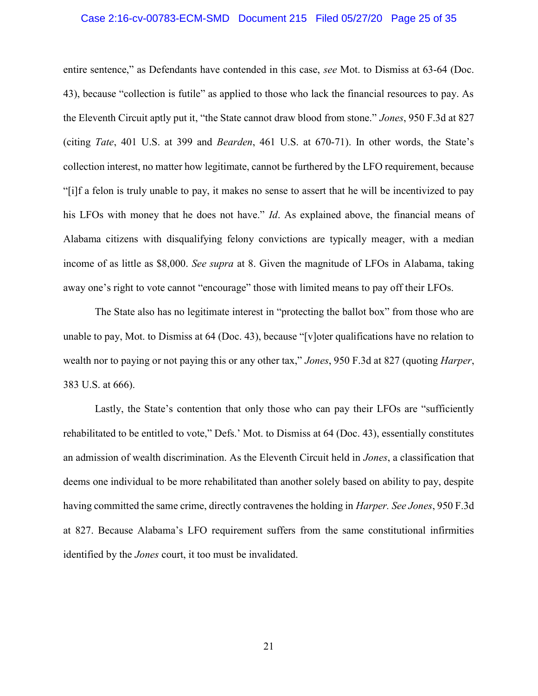# Case 2:16-cv-00783-ECM-SMD Document 215 Filed 05/27/20 Page 25 of 35

entire sentence," as Defendants have contended in this case, see Mot. to Dismiss at 63-64 (Doc. 43), because "collection is futile" as applied to those who lack the financial resources to pay. As the Eleventh Circuit aptly put it, "the State cannot draw blood from stone." Jones, 950 F.3d at 827 (citing Tate, 401 U.S. at 399 and Bearden, 461 U.S. at 670-71). In other words, the State's collection interest, no matter how legitimate, cannot be furthered by the LFO requirement, because "[i]f a felon is truly unable to pay, it makes no sense to assert that he will be incentivized to pay his LFOs with money that he does not have." *Id*. As explained above, the financial means of Alabama citizens with disqualifying felony convictions are typically meager, with a median income of as little as \$8,000. See supra at 8. Given the magnitude of LFOs in Alabama, taking away one's right to vote cannot "encourage" those with limited means to pay off their LFOs.

The State also has no legitimate interest in "protecting the ballot box" from those who are unable to pay, Mot. to Dismiss at 64 (Doc. 43), because "[v]oter qualifications have no relation to wealth nor to paying or not paying this or any other tax," Jones, 950 F.3d at 827 (quoting *Harper*, 383 U.S. at 666).

Lastly, the State's contention that only those who can pay their LFOs are "sufficiently rehabilitated to be entitled to vote," Defs.' Mot. to Dismiss at 64 (Doc. 43), essentially constitutes an admission of wealth discrimination. As the Eleventh Circuit held in Jones, a classification that deems one individual to be more rehabilitated than another solely based on ability to pay, despite having committed the same crime, directly contravenes the holding in *Harper. See Jones*, 950 F.3d at 827. Because Alabama's LFO requirement suffers from the same constitutional infirmities identified by the Jones court, it too must be invalidated.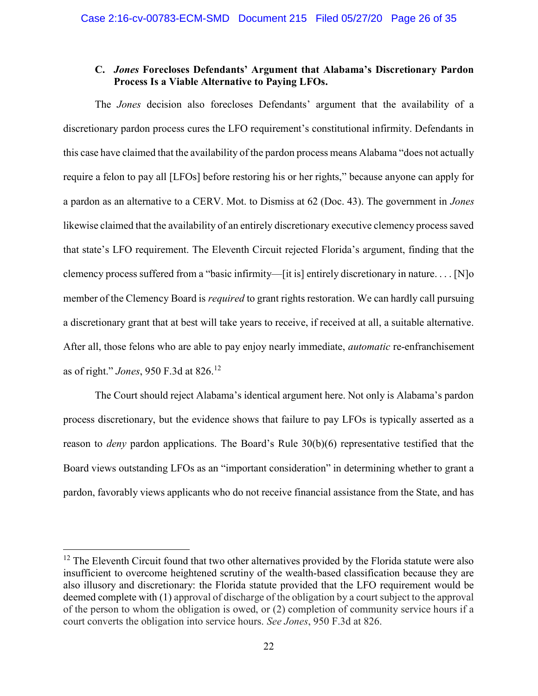## C. Jones Forecloses Defendants' Argument that Alabama's Discretionary Pardon Process Is a Viable Alternative to Paying LFOs.

The Jones decision also forecloses Defendants' argument that the availability of a discretionary pardon process cures the LFO requirement's constitutional infirmity. Defendants in this case have claimed that the availability of the pardon process means Alabama "does not actually require a felon to pay all [LFOs] before restoring his or her rights," because anyone can apply for a pardon as an alternative to a CERV. Mot. to Dismiss at 62 (Doc. 43). The government in Jones likewise claimed that the availability of an entirely discretionary executive clemency process saved that state's LFO requirement. The Eleventh Circuit rejected Florida's argument, finding that the clemency process suffered from a "basic infirmity—[it is] entirely discretionary in nature. . . . [N]o member of the Clemency Board is *required* to grant rights restoration. We can hardly call pursuing a discretionary grant that at best will take years to receive, if received at all, a suitable alternative. After all, those felons who are able to pay enjoy nearly immediate, *automatic* re-enfranchisement as of right." Jones, 950 F.3d at 826.<sup>12</sup>

The Court should reject Alabama's identical argument here. Not only is Alabama's pardon process discretionary, but the evidence shows that failure to pay LFOs is typically asserted as a reason to *deny* pardon applications. The Board's Rule 30(b)(6) representative testified that the Board views outstanding LFOs as an "important consideration" in determining whether to grant a pardon, favorably views applicants who do not receive financial assistance from the State, and has

 $12$  The Eleventh Circuit found that two other alternatives provided by the Florida statute were also insufficient to overcome heightened scrutiny of the wealth-based classification because they are also illusory and discretionary: the Florida statute provided that the LFO requirement would be deemed complete with (1) approval of discharge of the obligation by a court subject to the approval of the person to whom the obligation is owed, or (2) completion of community service hours if a court converts the obligation into service hours. See Jones, 950 F.3d at 826.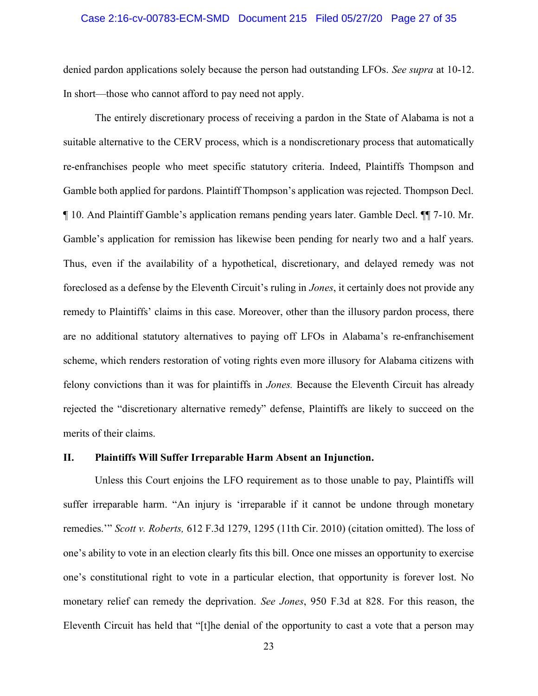#### Case 2:16-cv-00783-ECM-SMD Document 215 Filed 05/27/20 Page 27 of 35

denied pardon applications solely because the person had outstanding LFOs. See supra at 10-12. In short—those who cannot afford to pay need not apply.

The entirely discretionary process of receiving a pardon in the State of Alabama is not a suitable alternative to the CERV process, which is a nondiscretionary process that automatically re-enfranchises people who meet specific statutory criteria. Indeed, Plaintiffs Thompson and Gamble both applied for pardons. Plaintiff Thompson's application was rejected. Thompson Decl. ¶ 10. And Plaintiff Gamble's application remans pending years later. Gamble Decl. ¶¶ 7-10. Mr. Gamble's application for remission has likewise been pending for nearly two and a half years. Thus, even if the availability of a hypothetical, discretionary, and delayed remedy was not foreclosed as a defense by the Eleventh Circuit's ruling in *Jones*, it certainly does not provide any remedy to Plaintiffs' claims in this case. Moreover, other than the illusory pardon process, there are no additional statutory alternatives to paying off LFOs in Alabama's re-enfranchisement scheme, which renders restoration of voting rights even more illusory for Alabama citizens with felony convictions than it was for plaintiffs in Jones. Because the Eleventh Circuit has already rejected the "discretionary alternative remedy" defense, Plaintiffs are likely to succeed on the merits of their claims.

### II. Plaintiffs Will Suffer Irreparable Harm Absent an Injunction.

Unless this Court enjoins the LFO requirement as to those unable to pay, Plaintiffs will suffer irreparable harm. "An injury is 'irreparable if it cannot be undone through monetary remedies.'" Scott v. Roberts, 612 F.3d 1279, 1295 (11th Cir. 2010) (citation omitted). The loss of one's ability to vote in an election clearly fits this bill. Once one misses an opportunity to exercise one's constitutional right to vote in a particular election, that opportunity is forever lost. No monetary relief can remedy the deprivation. See Jones, 950 F.3d at 828. For this reason, the Eleventh Circuit has held that "[t]he denial of the opportunity to cast a vote that a person may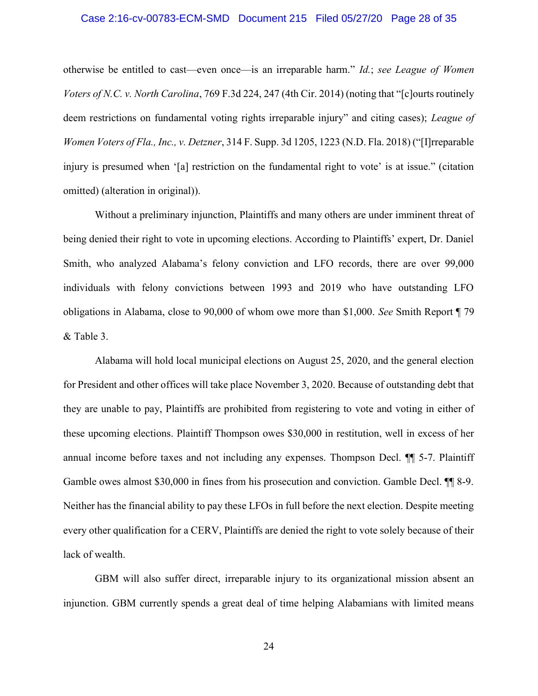#### Case 2:16-cv-00783-ECM-SMD Document 215 Filed 05/27/20 Page 28 of 35

otherwise be entitled to cast—even once—is an irreparable harm." Id.; see League of Women Voters of N.C. v. North Carolina, 769 F.3d 224, 247 (4th Cir. 2014) (noting that "[c]ourts routinely deem restrictions on fundamental voting rights irreparable injury" and citing cases); League of Women Voters of Fla., Inc., v. Detzner, 314 F. Supp. 3d 1205, 1223 (N.D. Fla. 2018) ("[I]rreparable injury is presumed when '[a] restriction on the fundamental right to vote' is at issue." (citation omitted) (alteration in original)).

Without a preliminary injunction, Plaintiffs and many others are under imminent threat of being denied their right to vote in upcoming elections. According to Plaintiffs' expert, Dr. Daniel Smith, who analyzed Alabama's felony conviction and LFO records, there are over 99,000 individuals with felony convictions between 1993 and 2019 who have outstanding LFO obligations in Alabama, close to 90,000 of whom owe more than \$1,000. See Smith Report ¶ 79 & Table 3.

Alabama will hold local municipal elections on August 25, 2020, and the general election for President and other offices will take place November 3, 2020. Because of outstanding debt that they are unable to pay, Plaintiffs are prohibited from registering to vote and voting in either of these upcoming elections. Plaintiff Thompson owes \$30,000 in restitution, well in excess of her annual income before taxes and not including any expenses. Thompson Decl. ¶¶ 5-7. Plaintiff Gamble owes almost \$30,000 in fines from his prosecution and conviction. Gamble Decl.  $\P$  8-9. Neither has the financial ability to pay these LFOs in full before the next election. Despite meeting every other qualification for a CERV, Plaintiffs are denied the right to vote solely because of their lack of wealth.

GBM will also suffer direct, irreparable injury to its organizational mission absent an injunction. GBM currently spends a great deal of time helping Alabamians with limited means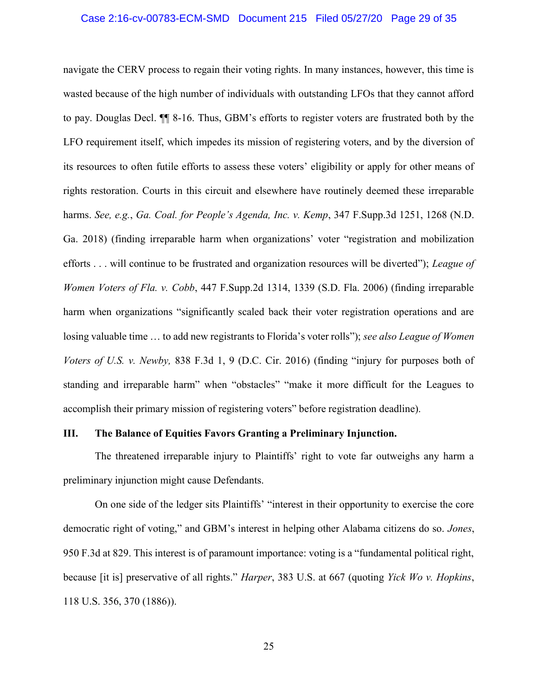#### Case 2:16-cv-00783-ECM-SMD Document 215 Filed 05/27/20 Page 29 of 35

navigate the CERV process to regain their voting rights. In many instances, however, this time is wasted because of the high number of individuals with outstanding LFOs that they cannot afford to pay. Douglas Decl. ¶¶ 8-16. Thus, GBM's efforts to register voters are frustrated both by the LFO requirement itself, which impedes its mission of registering voters, and by the diversion of its resources to often futile efforts to assess these voters' eligibility or apply for other means of rights restoration. Courts in this circuit and elsewhere have routinely deemed these irreparable harms. See, e.g., Ga. Coal. for People's Agenda, Inc. v. Kemp, 347 F.Supp.3d 1251, 1268 (N.D. Ga. 2018) (finding irreparable harm when organizations' voter "registration and mobilization efforts . . . will continue to be frustrated and organization resources will be diverted"); League of Women Voters of Fla. v. Cobb, 447 F.Supp.2d 1314, 1339 (S.D. Fla. 2006) (finding irreparable harm when organizations "significantly scaled back their voter registration operations and are losing valuable time ... to add new registrants to Florida's voter rolls"); see also League of Women Voters of U.S. v. Newby, 838 F.3d 1, 9 (D.C. Cir. 2016) (finding "injury for purposes both of standing and irreparable harm" when "obstacles" "make it more difficult for the Leagues to accomplish their primary mission of registering voters" before registration deadline).

## III. The Balance of Equities Favors Granting a Preliminary Injunction.

 The threatened irreparable injury to Plaintiffs' right to vote far outweighs any harm a preliminary injunction might cause Defendants.

 On one side of the ledger sits Plaintiffs' "interest in their opportunity to exercise the core democratic right of voting," and GBM's interest in helping other Alabama citizens do so. Jones, 950 F.3d at 829. This interest is of paramount importance: voting is a "fundamental political right, because [it is] preservative of all rights." *Harper*, 383 U.S. at 667 (quoting *Yick Wo v. Hopkins*, 118 U.S. 356, 370 (1886)).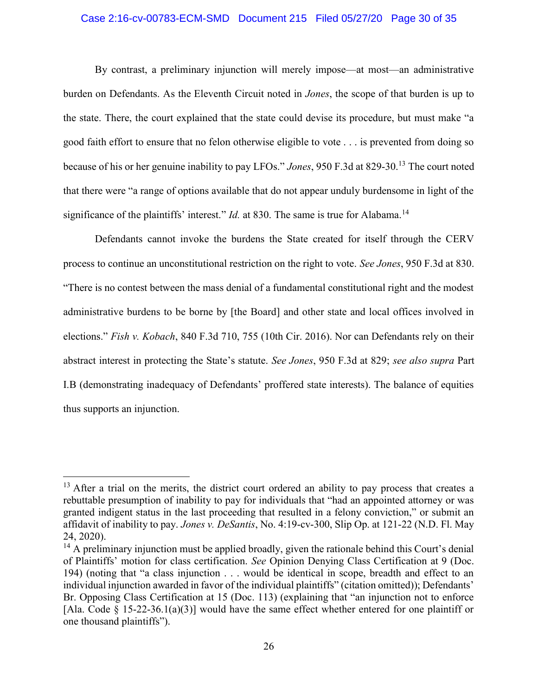#### Case 2:16-cv-00783-ECM-SMD Document 215 Filed 05/27/20 Page 30 of 35

 By contrast, a preliminary injunction will merely impose—at most—an administrative burden on Defendants. As the Eleventh Circuit noted in Jones, the scope of that burden is up to the state. There, the court explained that the state could devise its procedure, but must make "a good faith effort to ensure that no felon otherwise eligible to vote . . . is prevented from doing so because of his or her genuine inability to pay LFOs." Jones, 950 F.3d at 829-30.<sup>13</sup> The court noted that there were "a range of options available that do not appear unduly burdensome in light of the significance of the plaintiffs' interest." *Id.* at 830. The same is true for Alabama.<sup>14</sup>

Defendants cannot invoke the burdens the State created for itself through the CERV process to continue an unconstitutional restriction on the right to vote. See Jones, 950 F.3d at 830. "There is no contest between the mass denial of a fundamental constitutional right and the modest administrative burdens to be borne by [the Board] and other state and local offices involved in elections." Fish v. Kobach, 840 F.3d 710, 755 (10th Cir. 2016). Nor can Defendants rely on their abstract interest in protecting the State's statute. See Jones, 950 F.3d at 829; see also supra Part I.B (demonstrating inadequacy of Defendants' proffered state interests). The balance of equities thus supports an injunction.

 $13$  After a trial on the merits, the district court ordered an ability to pay process that creates a rebuttable presumption of inability to pay for individuals that "had an appointed attorney or was granted indigent status in the last proceeding that resulted in a felony conviction," or submit an affidavit of inability to pay. Jones v. DeSantis, No. 4:19-cv-300, Slip Op. at 121-22 (N.D. Fl. May 24, 2020).

 $14$  A preliminary injunction must be applied broadly, given the rationale behind this Court's denial of Plaintiffs' motion for class certification. See Opinion Denying Class Certification at 9 (Doc. 194) (noting that "a class injunction . . . would be identical in scope, breadth and effect to an individual injunction awarded in favor of the individual plaintiffs" (citation omitted)); Defendants' Br. Opposing Class Certification at 15 (Doc. 113) (explaining that "an injunction not to enforce [Ala. Code  $\S$  15-22-36.1(a)(3)] would have the same effect whether entered for one plaintiff or one thousand plaintiffs").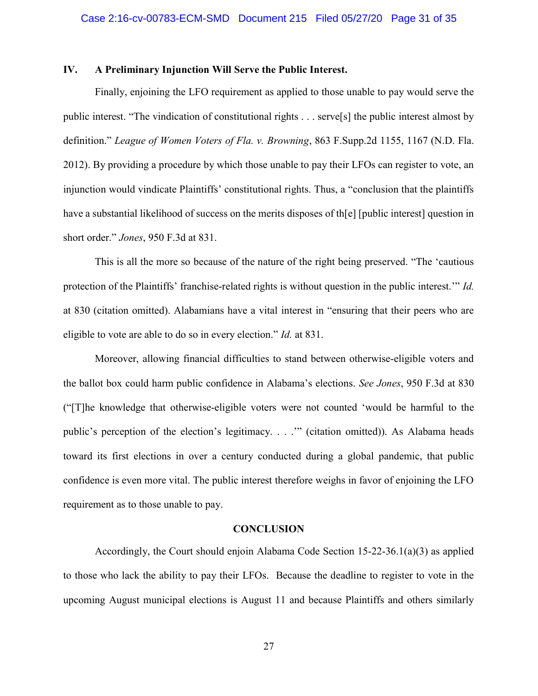### IV. A Preliminary Injunction Will Serve the Public Interest.

Finally, enjoining the LFO requirement as applied to those unable to pay would serve the public interest. "The vindication of constitutional rights . . . serve[s] the public interest almost by definition." League of Women Voters of Fla. v. Browning, 863 F.Supp.2d 1155, 1167 (N.D. Fla. 2012). By providing a procedure by which those unable to pay their LFOs can register to vote, an injunction would vindicate Plaintiffs' constitutional rights. Thus, a "conclusion that the plaintiffs have a substantial likelihood of success on the merits disposes of the [[public interest] question in short order." Jones, 950 F.3d at 831.

This is all the more so because of the nature of the right being preserved. "The 'cautious protection of the Plaintiffs' franchise-related rights is without question in the public interest.'" Id. at 830 (citation omitted). Alabamians have a vital interest in "ensuring that their peers who are eligible to vote are able to do so in every election." Id. at 831.

Moreover, allowing financial difficulties to stand between otherwise-eligible voters and the ballot box could harm public confidence in Alabama's elections. See Jones, 950 F.3d at 830 ("[T]he knowledge that otherwise-eligible voters were not counted 'would be harmful to the public's perception of the election's legitimacy. . . ." (citation omitted)). As Alabama heads toward its first elections in over a century conducted during a global pandemic, that public confidence is even more vital. The public interest therefore weighs in favor of enjoining the LFO requirement as to those unable to pay.

#### CONCLUSION

Accordingly, the Court should enjoin Alabama Code Section 15-22-36.1(a)(3) as applied to those who lack the ability to pay their LFOs. Because the deadline to register to vote in the upcoming August municipal elections is August 11 and because Plaintiffs and others similarly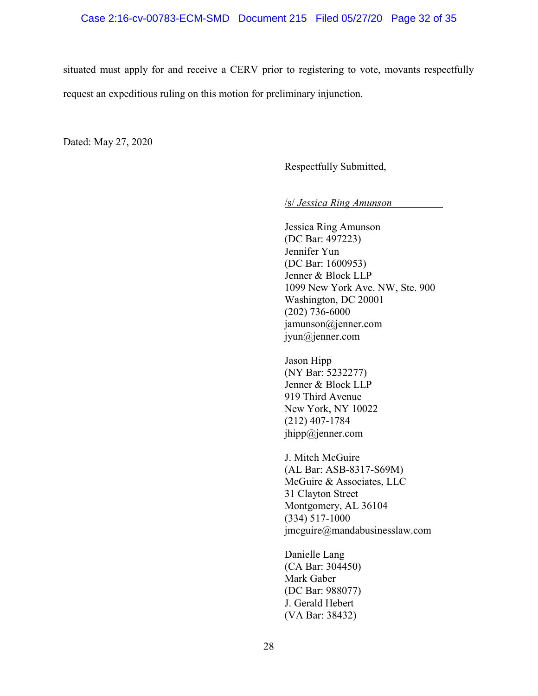situated must apply for and receive a CERV prior to registering to vote, movants respectfully request an expeditious ruling on this motion for preliminary injunction.

Dated: May 27, 2020

Respectfully Submitted,

/s/ Jessica Ring Amunson

Jessica Ring Amunson (DC Bar: 497223) Jennifer Yun (DC Bar: 1600953) Jenner & Block LLP 1099 New York Ave. NW, Ste. 900 Washington, DC 20001 (202) 736-6000 jamunson@jenner.com jyun@jenner.com

Jason Hipp (NY Bar: 5232277) Jenner & Block LLP 919 Third Avenue New York, NY 10022 (212) 407-1784 jhipp@jenner.com

J. Mitch McGuire (AL Bar: ASB-8317-S69M) McGuire & Associates, LLC 31 Clayton Street Montgomery, AL 36104 (334) 517-1000 jmcguire@mandabusinesslaw.com

Danielle Lang (CA Bar: 304450) Mark Gaber (DC Bar: 988077) J. Gerald Hebert (VA Bar: 38432)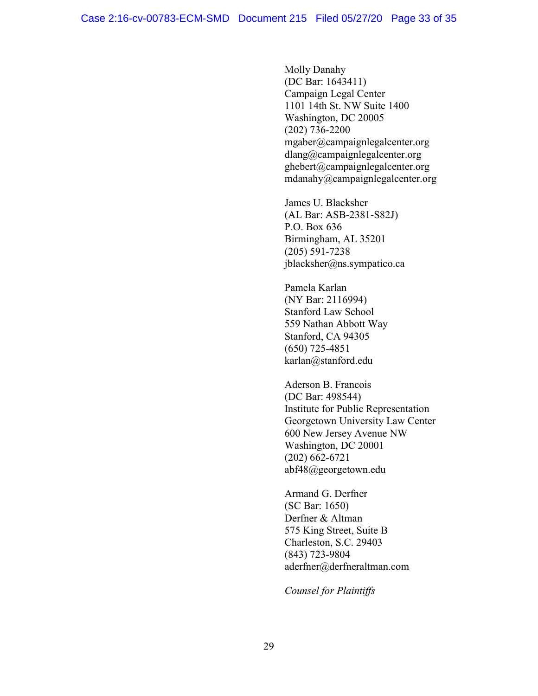Molly Danahy (DC Bar: 1643411) Campaign Legal Center 1101 14th St. NW Suite 1400 Washington, DC 20005 (202) 736-2200 mgaber@campaignlegalcenter.org dlang@campaignlegalcenter.org ghebert@campaignlegalcenter.org mdanahy@campaignlegalcenter.org

James U. Blacksher (AL Bar: ASB-2381-S82J) P.O. Box 636 Birmingham, AL 35201 (205) 591-7238 jblacksher@ns.sympatico.ca

Pamela Karlan (NY Bar: 2116994) Stanford Law School 559 Nathan Abbott Way Stanford, CA 94305 (650) 725-4851 karlan@stanford.edu

Aderson B. Francois (DC Bar: 498544) Institute for Public Representation Georgetown University Law Center 600 New Jersey Avenue NW Washington, DC 20001 (202) 662-6721 abf48@georgetown.edu

Armand G. Derfner (SC Bar: 1650) Derfner & Altman 575 King Street, Suite B Charleston, S.C. 29403 (843) 723-9804 aderfner@derfneraltman.com

Counsel for Plaintiffs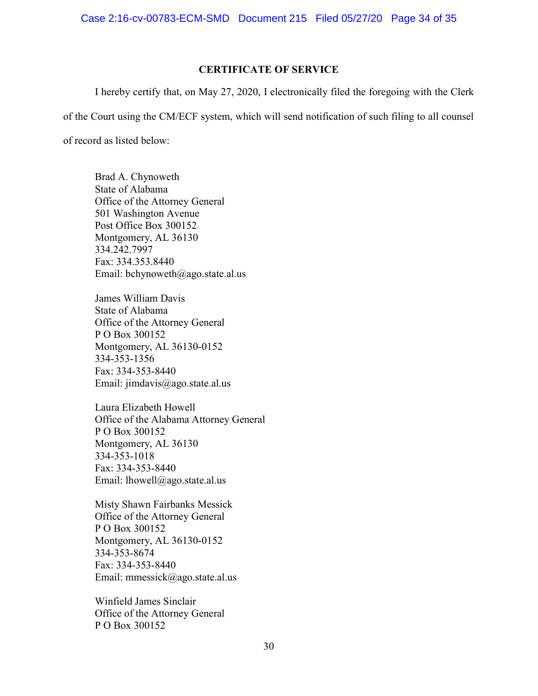Case 2:16-cv-00783-ECM-SMD Document 215 Filed 05/27/20 Page 34 of 35

### CERTIFICATE OF SERVICE

I hereby certify that, on May 27, 2020, I electronically filed the foregoing with the Clerk of the Court using the CM/ECF system, which will send notification of such filing to all counsel of record as listed below:

Brad A. Chynoweth State of Alabama Office of the Attorney General 501 Washington Avenue Post Office Box 300152 Montgomery, AL 36130 334.242.7997 Fax: 334.353.8440 Email: bchynoweth@ago.state.al.us

James William Davis State of Alabama Office of the Attorney General P O Box 300152 Montgomery, AL 36130-0152 334-353-1356 Fax: 334-353-8440 Email: jimdavis@ago.state.al.us

Laura Elizabeth Howell Office of the Alabama Attorney General P O Box 300152 Montgomery, AL 36130 334-353-1018 Fax: 334-353-8440 Email: lhowell@ago.state.al.us

Misty Shawn Fairbanks Messick Office of the Attorney General P O Box 300152 Montgomery, AL 36130-0152 334-353-8674 Fax: 334-353-8440 Email: mmessick@ago.state.al.us

Winfield James Sinclair Office of the Attorney General P O Box 300152